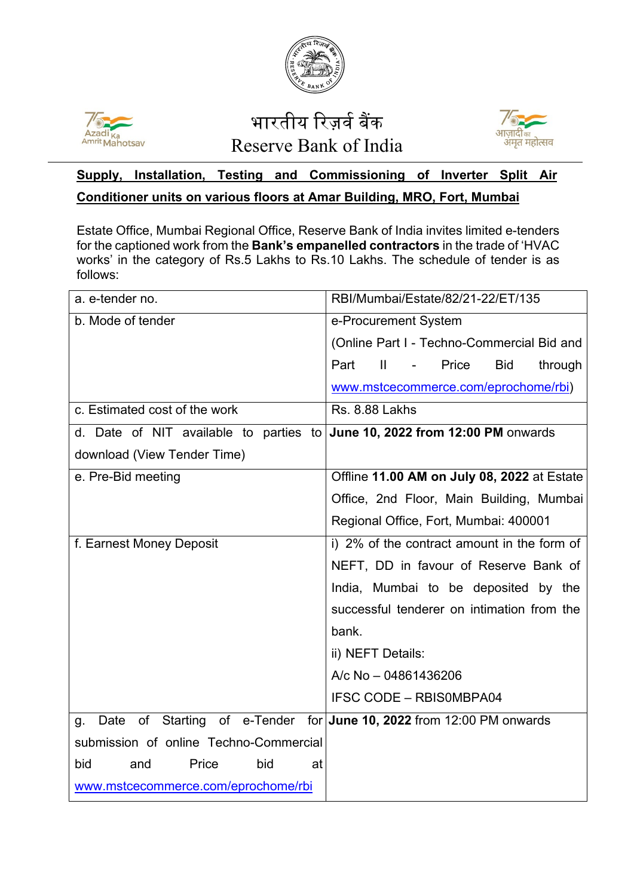



## भारतीय रिज़र्व बैंक Reserve Bank of India



## **Supply, Installation, Testing and Commissioning of Inverter Split Air Conditioner units on various floors at Amar Building, MRO, Fort, Mumbai**

Estate Office, Mumbai Regional Office, Reserve Bank of India invites limited e-tenders for the captioned work from the **Bank's empanelled contractors** in the trade of 'HVAC works' in the category of Rs.5 Lakhs to Rs.10 Lakhs. The schedule of tender is as follows:

| a. e-tender no.                                                            | RBI/Mumbai/Estate/82/21-22/ET/135                               |
|----------------------------------------------------------------------------|-----------------------------------------------------------------|
| b. Mode of tender                                                          | e-Procurement System                                            |
|                                                                            | (Online Part I - Techno-Commercial Bid and                      |
|                                                                            | Part<br>$\mathbf{H}$<br>Price<br><b>Bid</b><br>through          |
|                                                                            | www.mstcecommerce.com/eprochome/rbi)                            |
| c. Estimated cost of the work                                              | <b>Rs. 8.88 Lakhs</b>                                           |
| d. Date of NIT available to parties to June 10, 2022 from 12:00 PM onwards |                                                                 |
| download (View Tender Time)                                                |                                                                 |
| e. Pre-Bid meeting                                                         | Offline 11.00 AM on July 08, 2022 at Estate                     |
|                                                                            | Office, 2nd Floor, Main Building, Mumbai                        |
|                                                                            | Regional Office, Fort, Mumbai: 400001                           |
| f. Earnest Money Deposit                                                   | i) 2% of the contract amount in the form of                     |
|                                                                            | NEFT, DD in favour of Reserve Bank of                           |
|                                                                            | India, Mumbai to be deposited by the                            |
|                                                                            | successful tenderer on intimation from the                      |
|                                                                            | bank.                                                           |
|                                                                            | ii) NEFT Details:                                               |
|                                                                            | A/c No - 04861436206                                            |
|                                                                            | <b>IFSC CODE - RBISOMBPA04</b>                                  |
| Date<br>g.                                                                 | of Starting of e-Tender for June 10, 2022 from 12:00 PM onwards |
| submission of online Techno-Commercial                                     |                                                                 |
| bid<br>Price<br>bid<br>and<br>at                                           |                                                                 |
| www.mstcecommerce.com/eprochome/rbi                                        |                                                                 |